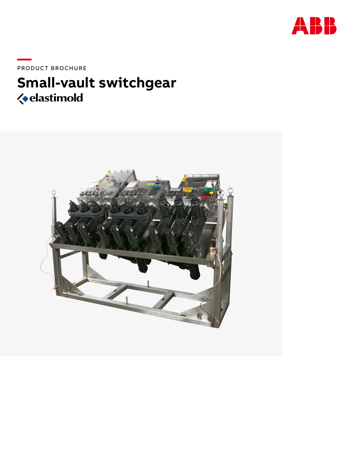

PRODUCT BROCHURE

# Small-vault switchgear *<u>ielastimold</u>*

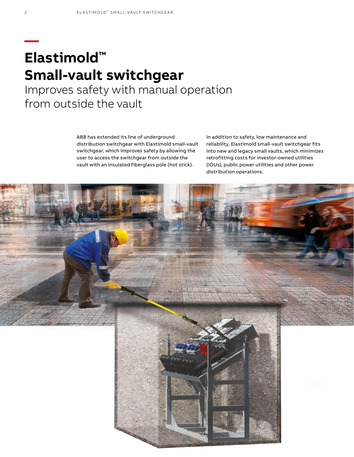# **— Elastimold™ Small-vault switchgear**

Improves safety with manual operation from outside the vault

> ABB has extended its line of underground distribution switchgear with Elastimold small-vault switchgear, which improves safety by allowing the user to access the switchgear from outside the vault with an insulated fiberglass pole (hot stick).

In addition to safety, low maintenance and reliability, Elastimold small-vault switchgear fits into new and legacy small vaults, which minimizes retrofitting costs for investor-owned utilities (IOUs), public power utilities and other power distribution operations.

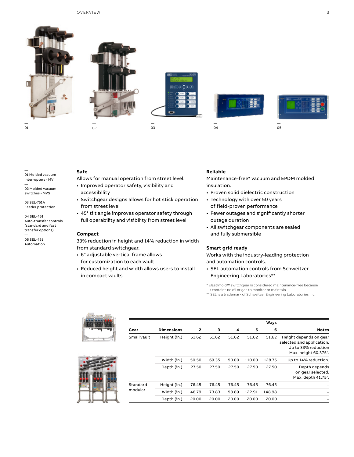



— 02



— 03





— 05

—

# 01 Molded vacuum interrupters - MVI

— 02 Molded vacuum switches - MVS

— 03 SEL-751A Feeder protection —

04 SEL-451 Auto-transfer controls (standard and fast transfer options)

— 05 SEL-451 Automation

## **Safe**

Allows for manual operation from street level.

- Improved operator safety, visibility and accessibility
- Switchgear designs allows for hot stick operation from street level
- 45° tilt angle improves operator safety through full operability and visibility from street level

#### **Compact**

33% reduction in height and 14% reduction in width from standard switchgear.

- 6" adjustable vertical frame allows for customization to each vault
- Reduced height and width allows users to install in compact vaults

### **Reliable**

— 04

Maintenance-free\* vacuum and EPDM molded insulation.

- Proven solid dielectric construction
- Technology with over 50 years of field-proven performance
- Fewer outages and significantly shorter outage duration
- All switchgear components are sealed and fully submersible

#### **Smart grid ready**

Works with the industry-leading protection and automation controls.

• SEL automation controls from Schweitzer Engineering Laboratories\*\*

\* Elastimold™ switchgear is considered maintenance-free because it contains no oil or gas to monitor or maintain.

\*\* SEL is a trademark of Schweitzer Engineering Laboratories Inc.

**Ways**

| Gear        | <b>Dimensions</b> | 2     | 3     |  |
|-------------|-------------------|-------|-------|--|
| Small vault | Height (in.)      | 51.62 | 51.62 |  |
|             | Width (in.)       | 50.50 | 69.35 |  |
|             | Depth (in.)       | 27.50 | 27.50 |  |



| 6      | 5      | 4     | 3     | 2     | <b>Dimensions</b> | Gear        |
|--------|--------|-------|-------|-------|-------------------|-------------|
| 51.62  | 51.62  | 51.62 | 51.62 | 51.62 | Height (in.)      | Small vault |
| 128.75 | 110.00 | 90.00 | 69.35 | 50.50 | Width (in.)       |             |
| 27.50  | 27.50  | 27.50 | 27.50 | 27.50 | Depth (in.)       |             |
| 76.45  | 76.45  | 76.45 | 76.45 | 76.45 | Height (in.)      | Standard    |
| 148.98 | 122.91 | 98.89 | 73.83 | 48.79 | Width (in.)       | modular     |
| 20.00  | 20.00  | 20.00 | 20.00 | 20.00 | Depth (in.)       |             |
|        |        |       |       |       |                   |             |